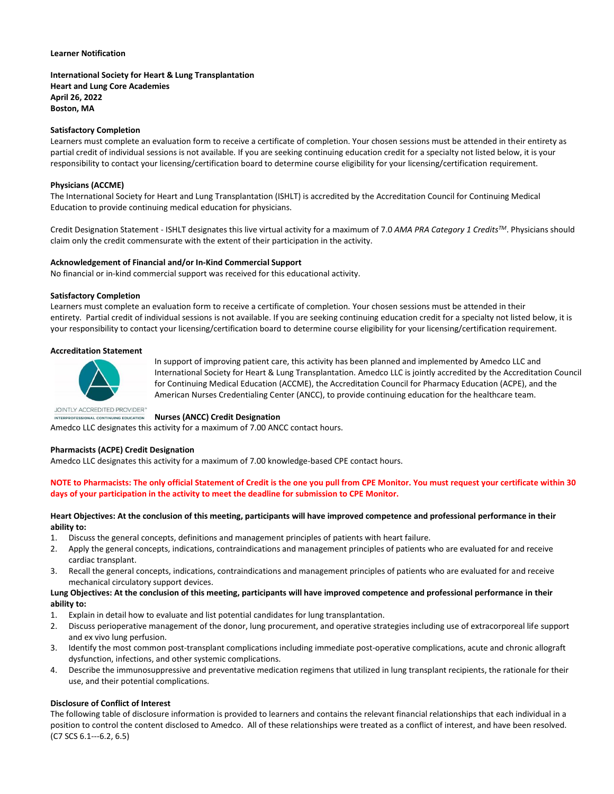#### **Learner Notification**

## **International Society for Heart & Lung Transplantation Heart and Lung Core Academies April 26, 2022 Boston, MA**

## **Satisfactory Completion**

Learners must complete an evaluation form to receive a certificate of completion. Your chosen sessions must be attended in their entirety as partial credit of individual sessions is not available. If you are seeking continuing education credit for a specialty not listed below, it is your responsibility to contact your licensing/certification board to determine course eligibility for your licensing/certification requirement.

### **Physicians (ACCME)**

The International Society for Heart and Lung Transplantation (ISHLT) is accredited by the Accreditation Council for Continuing Medical Education to provide continuing medical education for physicians.

Credit Designation Statement - ISHLT designates this live virtual activity for a maximum of 7.0 *AMA PRA Category 1 CreditsTM*. Physicians should claim only the credit commensurate with the extent of their participation in the activity.

#### **Acknowledgement of Financial and/or In-Kind Commercial Support**

No financial or in-kind commercial support was received for this educational activity.

#### **Satisfactory Completion**

Learners must complete an evaluation form to receive a certificate of completion. Your chosen sessions must be attended in their entirety. Partial credit of individual sessions is not available. If you are seeking continuing education credit for a specialty not listed below, it is your responsibility to contact your licensing/certification board to determine course eligibility for your licensing/certification requirement.

#### **Accreditation Statement**



In support of improving patient care, this activity has been planned and implemented by Amedco LLC and International Society for Heart & Lung Transplantation. Amedco LLC is jointly accredited by the Accreditation Council for Continuing Medical Education (ACCME), the Accreditation Council for Pharmacy Education (ACPE), and the American Nurses Credentialing Center (ANCC), to provide continuing education for the healthcare team.

JOINTLY ACCREDITED PROVIDER" INTERPROFESSIONAL CONTINUING EDUCATION

#### **Nurses (ANCC) Credit Designation**

Amedco LLC designates this activity for a maximum of 7.00 ANCC contact hours.

#### **Pharmacists (ACPE) Credit Designation**

Amedco LLC designates this activity for a maximum of 7.00 knowledge-based CPE contact hours.

## **NOTE to Pharmacists: The only official Statement of Credit is the one you pull from CPE Monitor. You must request your certificate within 30 days of your participation in the activity to meet the deadline for submission to CPE Monitor.**

### **Heart Objectives: At the conclusion of this meeting, participants will have improved competence and professional performance in their ability to:**

- 1. Discuss the general concepts, definitions and management principles of patients with heart failure.
- 2. Apply the general concepts, indications, contraindications and management principles of patients who are evaluated for and receive cardiac transplant.
- 3. Recall the general concepts, indications, contraindications and management principles of patients who are evaluated for and receive mechanical circulatory support devices.

### **Lung Objectives: At the conclusion of this meeting, participants will have improved competence and professional performance in their ability to:**

- 1. Explain in detail how to evaluate and list potential candidates for lung transplantation.
- 2. Discuss perioperative management of the donor, lung procurement, and operative strategies including use of extracorporeal life support and ex vivo lung perfusion.
- 3. Identify the most common post-transplant complications including immediate post-operative complications, acute and chronic allograft dysfunction, infections, and other systemic complications.
- 4. Describe the immunosuppressive and preventative medication regimens that utilized in lung transplant recipients, the rationale for their use, and their potential complications.

## **Disclosure of Conflict of Interest**

The following table of disclosure information is provided to learners and contains the relevant financial relationships that each individual in a position to control the content disclosed to Amedco. All of these relationships were treated as a conflict of interest, and have been resolved. (C7 SCS 6.1--‐6.2, 6.5)